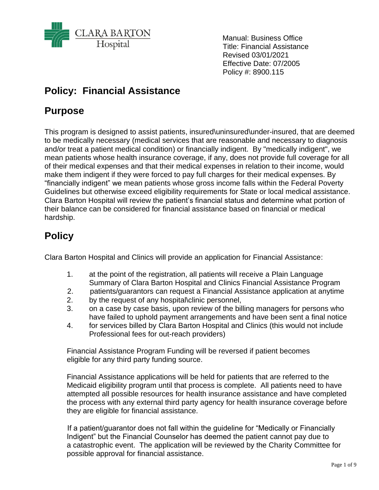

Manual: Business Office Title: Financial Assistance Revised 03/01/2021 Effective Date: 07/2005 Policy #: 8900.115

## **Policy: Financial Assistance**

## **Purpose**

This program is designed to assist patients, insured\uninsured\under-insured, that are deemed to be medically necessary (medical services that are reasonable and necessary to diagnosis and/or treat a patient medical condition) or financially indigent. By "medically indigent", we mean patients whose health insurance coverage, if any, does not provide full coverage for all of their medical expenses and that their medical expenses in relation to their income, would make them indigent if they were forced to pay full charges for their medical expenses. By "financially indigent" we mean patients whose gross income falls within the Federal Poverty Guidelines but otherwise exceed eligibility requirements for State or local medical assistance. Clara Barton Hospital will review the patient's financial status and determine what portion of their balance can be considered for financial assistance based on financial or medical hardship.

## **Policy**

Clara Barton Hospital and Clinics will provide an application for Financial Assistance:

- 1. at the point of the registration, all patients will receive a Plain Language Summary of Clara Barton Hospital and Clinics Financial Assistance Program
- 2. patients/guarantors can request a Financial Assistance application at anytime
- 2. by the request of any hospital\clinic personnel,
- 3. on a case by case basis, upon review of the billing managers for persons who have failed to uphold payment arrangements and have been sent a final notice
- 4. for services billed by Clara Barton Hospital and Clinics (this would not include Professional fees for out-reach providers)

Financial Assistance Program Funding will be reversed if patient becomes eligible for any third party funding source.

Financial Assistance applications will be held for patients that are referred to the Medicaid eligibility program until that process is complete. All patients need to have attempted all possible resources for health insurance assistance and have completed the process with any external third party agency for health insurance coverage before they are eligible for financial assistance.

 If a patient/guarantor does not fall within the guideline for "Medically or Financially Indigent" but the Financial Counselor has deemed the patient cannot pay due to a catastrophic event. The application will be reviewed by the Charity Committee for possible approval for financial assistance.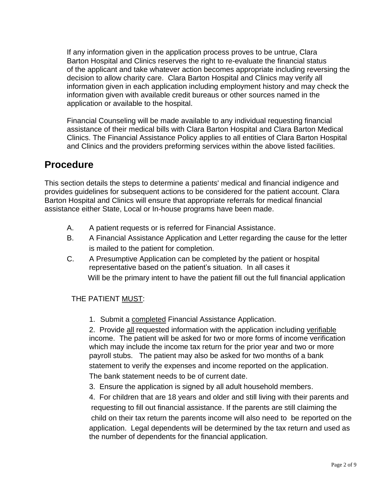If any information given in the application process proves to be untrue, Clara Barton Hospital and Clinics reserves the right to re-evaluate the financial status of the applicant and take whatever action becomes appropriate including reversing the decision to allow charity care. Clara Barton Hospital and Clinics may verify all information given in each application including employment history and may check the information given with available credit bureaus or other sources named in the application or available to the hospital.

Financial Counseling will be made available to any individual requesting financial assistance of their medical bills with Clara Barton Hospital and Clara Barton Medical Clinics. The Financial Assistance Policy applies to all entities of Clara Barton Hospital and Clinics and the providers preforming services within the above listed facilities.

## **Procedure**

This section details the steps to determine a patients' medical and financial indigence and provides guidelines for subsequent actions to be considered for the patient account. Clara Barton Hospital and Clinics will ensure that appropriate referrals for medical financial assistance either State, Local or In-house programs have been made.

- A. A patient requests or is referred for Financial Assistance.
- B. A Financial Assistance Application and Letter regarding the cause for the letter is mailed to the patient for completion.
- C. A Presumptive Application can be completed by the patient or hospital representative based on the patient's situation. In all cases it Will be the primary intent to have the patient fill out the full financial application

### THE PATIENT MUST:

1. Submit a completed Financial Assistance Application.

2. Provide all requested information with the application including verifiable income. The patient will be asked for two or more forms of income verification which may include the income tax return for the prior year and two or more payroll stubs. The patient may also be asked for two months of a bank statement to verify the expenses and income reported on the application. The bank statement needs to be of current date.

3. Ensure the application is signed by all adult household members.

4. For children that are 18 years and older and still living with their parents and requesting to fill out financial assistance. If the parents are still claiming the child on their tax return the parents income will also need to be reported on the application. Legal dependents will be determined by the tax return and used as the number of dependents for the financial application.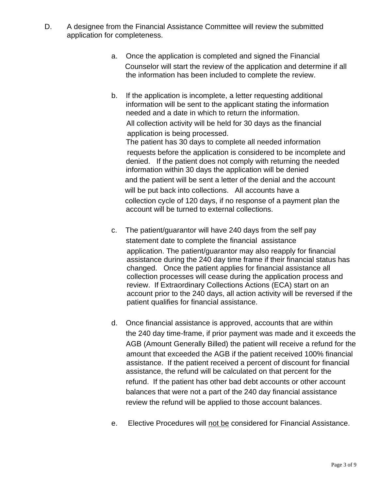- D. A designee from the Financial Assistance Committee will review the submitted application for completeness.
	- a. Once the application is completed and signed the Financial Counselor will start the review of the application and determine if all the information has been included to complete the review.
	- b. If the application is incomplete, a letter requesting additional information will be sent to the applicant stating the information needed and a date in which to return the information. All collection activity will be held for 30 days as the financial application is being processed. The patient has 30 days to complete all needed information requests before the application is considered to be incomplete and denied. If the patient does not comply with returning the needed information within 30 days the application will be denied and the patient will be sent a letter of the denial and the account will be put back into collections. All accounts have a collection cycle of 120 days, if no response of a payment plan the account will be turned to external collections.
	- c. The patient/guarantor will have 240 days from the self pay statement date to complete the financial assistance application. The patient/guarantor may also reapply for financial assistance during the 240 day time frame if their financial status has changed. Once the patient applies for financial assistance all collection processes will cease during the application process and review. If Extraordinary Collections Actions (ECA) start on an account prior to the 240 days, all action activity will be reversed if the patient qualifies for financial assistance.
	- d. Once financial assistance is approved, accounts that are within the 240 day time-frame, if prior payment was made and it exceeds the AGB (Amount Generally Billed) the patient will receive a refund for the amount that exceeded the AGB if the patient received 100% financial assistance. If the patient received a percent of discount for financial assistance, the refund will be calculated on that percent for the refund. If the patient has other bad debt accounts or other account balances that were not a part of the 240 day financial assistance review the refund will be applied to those account balances.
	- e. Elective Procedures will not be considered for Financial Assistance.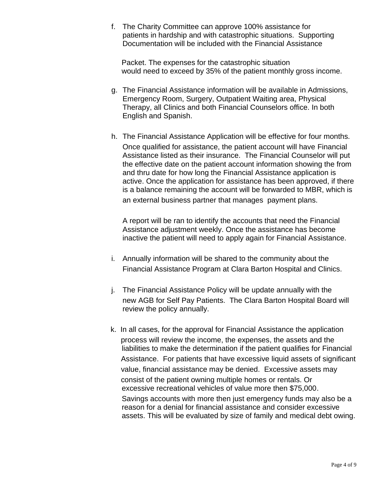f. The Charity Committee can approve 100% assistance for patients in hardship and with catastrophic situations. Supporting Documentation will be included with the Financial Assistance

Packet. The expenses for the catastrophic situation would need to exceed by 35% of the patient monthly gross income.

- g. The Financial Assistance information will be available in Admissions, Emergency Room, Surgery, Outpatient Waiting area, Physical Therapy, all Clinics and both Financial Counselors office. In both English and Spanish.
- h. The Financial Assistance Application will be effective for four months. Once qualified for assistance, the patient account will have Financial Assistance listed as their insurance. The Financial Counselor will put the effective date on the patient account information showing the from and thru date for how long the Financial Assistance application is active. Once the application for assistance has been approved, if there is a balance remaining the account will be forwarded to MBR, which is an external business partner that manages payment plans.

A report will be ran to identify the accounts that need the Financial Assistance adjustment weekly. Once the assistance has become inactive the patient will need to apply again for Financial Assistance.

- i. Annually information will be shared to the community about the Financial Assistance Program at Clara Barton Hospital and Clinics.
- j. The Financial Assistance Policy will be update annually with the new AGB for Self Pay Patients. The Clara Barton Hospital Board will review the policy annually.
- k. In all cases, for the approval for Financial Assistance the application process will review the income, the expenses, the assets and the liabilities to make the determination if the patient qualifies for Financial Assistance. For patients that have excessive liquid assets of significant value, financial assistance may be denied. Excessive assets may consist of the patient owning multiple homes or rentals. Or excessive recreational vehicles of value more then \$75,000. Savings accounts with more then just emergency funds may also be a reason for a denial for financial assistance and consider excessive assets. This will be evaluated by size of family and medical debt owing.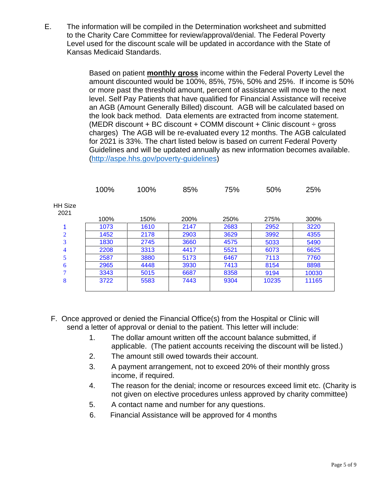E. The information will be compiled in the Determination worksheet and submitted to the Charity Care Committee for review/approval/denial. The Federal Poverty Level used for the discount scale will be updated in accordance with the State of Kansas Medicaid Standards.

> Based on patient **monthly gross** income within the Federal Poverty Level the amount discounted would be 100%, 85%, 75%, 50% and 25%. If income is 50% or more past the threshold amount, percent of assistance will move to the next level. Self Pay Patients that have qualified for Financial Assistance will receive an AGB (Amount Generally Billed) discount. AGB will be calculated based on the look back method. Data elements are extracted from income statement. (MEDR discount + BC discount + COMM discount + Clinic discount  $\div$  gross charges) The AGB will be re-evaluated every 12 months. The AGB calculated for 2021 is 33%. The chart listed below is based on current Federal Poverty Guidelines and will be updated annually as new information becomes available. [\(http://aspe.hhs.gov/poverty-guidelines\)](http://aspe.hhs.gov/poverty-guidelines)

|                        | 100% | 100% | 85%  | 75%  | 50%   | 25%   |
|------------------------|------|------|------|------|-------|-------|
| <b>HH Size</b><br>2021 |      |      |      |      |       |       |
|                        | 100% | 150% | 200% | 250% | 275%  | 300%  |
| 1                      | 1073 | 1610 | 2147 | 2683 | 2952  | 3220  |
| $\overline{2}$         | 1452 | 2178 | 2903 | 3629 | 3992  | 4355  |
| 3                      | 1830 | 2745 | 3660 | 4575 | 5033  | 5490  |
| 4                      | 2208 | 3313 | 4417 | 5521 | 6073  | 6625  |
| 5                      | 2587 | 3880 | 5173 | 6467 | 7113  | 7760  |
| 6                      | 2965 | 4448 | 3930 | 7413 | 8154  | 8898  |
| 7                      | 3343 | 5015 | 6687 | 8358 | 9194  | 10030 |
| 8                      | 3722 | 5583 | 7443 | 9304 | 10235 | 11165 |
|                        |      |      |      |      |       |       |

- F. Once approved or denied the Financial Office(s) from the Hospital or Clinic will send a letter of approval or denial to the patient. This letter will include:
	- 1. The dollar amount written off the account balance submitted, if applicable. (The patient accounts receiving the discount will be listed.)
	- 2. The amount still owed towards their account.
	- 3. A payment arrangement, not to exceed 20% of their monthly gross income, if required.
	- 4. The reason for the denial; income or resources exceed limit etc. (Charity is not given on elective procedures unless approved by charity committee)
	- 5. A contact name and number for any questions.
	- 6. Financial Assistance will be approved for 4 months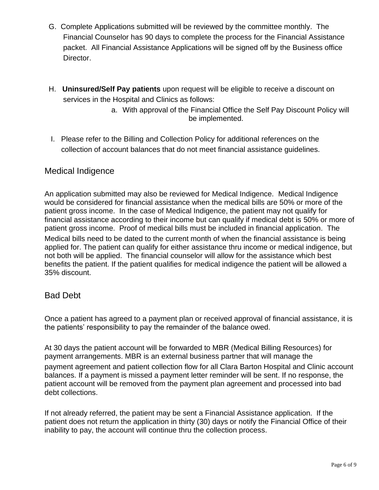- G. Complete Applications submitted will be reviewed by the committee monthly. The Financial Counselor has 90 days to complete the process for the Financial Assistance packet. All Financial Assistance Applications will be signed off by the Business office Director.
- H. **Uninsured/Self Pay patients** upon request will be eligible to receive a discount on services in the Hospital and Clinics as follows:
	- a. With approval of the Financial Office the Self Pay Discount Policy will be implemented.
- I. Please refer to the Billing and Collection Policy for additional references on the collection of account balances that do not meet financial assistance guidelines.

## Medical Indigence

An application submitted may also be reviewed for Medical Indigence. Medical Indigence would be considered for financial assistance when the medical bills are 50% or more of the patient gross income. In the case of Medical Indigence, the patient may not qualify for financial assistance according to their income but can qualify if medical debt is 50% or more of patient gross income. Proof of medical bills must be included in financial application. The Medical bills need to be dated to the current month of when the financial assistance is being applied for. The patient can qualify for either assistance thru income or medical indigence, but not both will be applied. The financial counselor will allow for the assistance which best benefits the patient. If the patient qualifies for medical indigence the patient will be allowed a 35% discount.

### Bad Debt

Once a patient has agreed to a payment plan or received approval of financial assistance, it is the patients' responsibility to pay the remainder of the balance owed.

At 30 days the patient account will be forwarded to MBR (Medical Billing Resources) for payment arrangements. MBR is an external business partner that will manage the payment agreement and patient collection flow for all Clara Barton Hospital and Clinic account balances. If a payment is missed a payment letter reminder will be sent. If no response, the patient account will be removed from the payment plan agreement and processed into bad debt collections.

If not already referred, the patient may be sent a Financial Assistance application. If the patient does not return the application in thirty (30) days or notify the Financial Office of their inability to pay, the account will continue thru the collection process.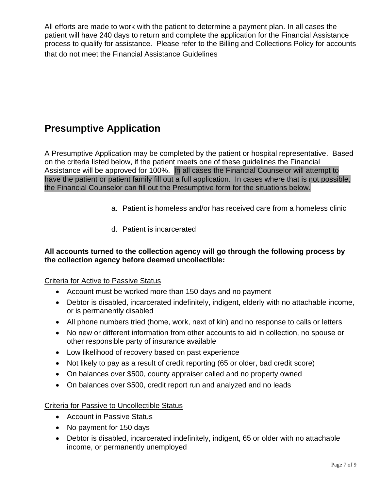All efforts are made to work with the patient to determine a payment plan. In all cases the patient will have 240 days to return and complete the application for the Financial Assistance process to qualify for assistance. Please refer to the Billing and Collections Policy for accounts that do not meet the Financial Assistance Guidelines

## **Presumptive Application**

A Presumptive Application may be completed by the patient or hospital representative. Based on the criteria listed below, if the patient meets one of these guidelines the Financial Assistance will be approved for 100%. In all cases the Financial Counselor will attempt to have the patient or patient family fill out a full application. In cases where that is not possible, the Financial Counselor can fill out the Presumptive form for the situations below.

- a. Patient is homeless and/or has received care from a homeless clinic
- d. Patient is incarcerated

#### **All accounts turned to the collection agency will go through the following process by the collection agency before deemed uncollectible:**

#### Criteria for Active to Passive Status

- Account must be worked more than 150 days and no payment
- Debtor is disabled, incarcerated indefinitely, indigent, elderly with no attachable income, or is permanently disabled
- All phone numbers tried (home, work, next of kin) and no response to calls or letters
- No new or different information from other accounts to aid in collection, no spouse or other responsible party of insurance available
- Low likelihood of recovery based on past experience
- Not likely to pay as a result of credit reporting (65 or older, bad credit score)
- On balances over \$500, county appraiser called and no property owned
- On balances over \$500, credit report run and analyzed and no leads

#### Criteria for Passive to Uncollectible Status

- Account in Passive Status
- No payment for 150 days
- Debtor is disabled, incarcerated indefinitely, indigent, 65 or older with no attachable income, or permanently unemployed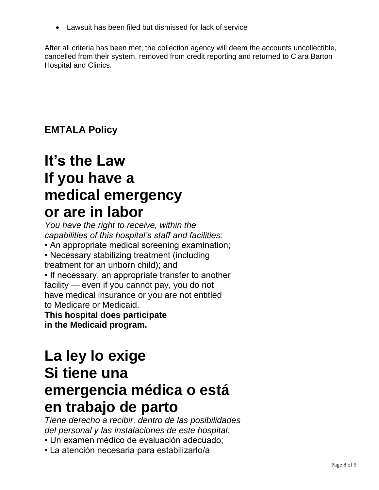• Lawsuit has been filed but dismissed for lack of service

After all criteria has been met, the collection agency will deem the accounts uncollectible, cancelled from their system, removed from credit reporting and returned to Clara Barton Hospital and Clinics.

**EMTALA Policy**

# **It's the Law If you have a medical emergency or are in labor**

*You have the right to receive, within the capabilities of this hospital's staff and facilities:* • An appropriate medical screening examination; • Necessary stabilizing treatment (including treatment for an unborn child); and • If necessary, an appropriate transfer to another facility — even if you cannot pay, you do not have medical insurance or you are not entitled to Medicare or Medicaid. **This hospital does participate**

**in the Medicaid program.**

# **La ley lo exige Si tiene una emergencia médica o está en trabajo de parto**

*Tiene derecho a recibir, dentro de las posibilidades del personal y las instalaciones de este hospital:*

- Un examen médico de evaluación adecuado;
- La atención necesaria para estabilizarlo/a